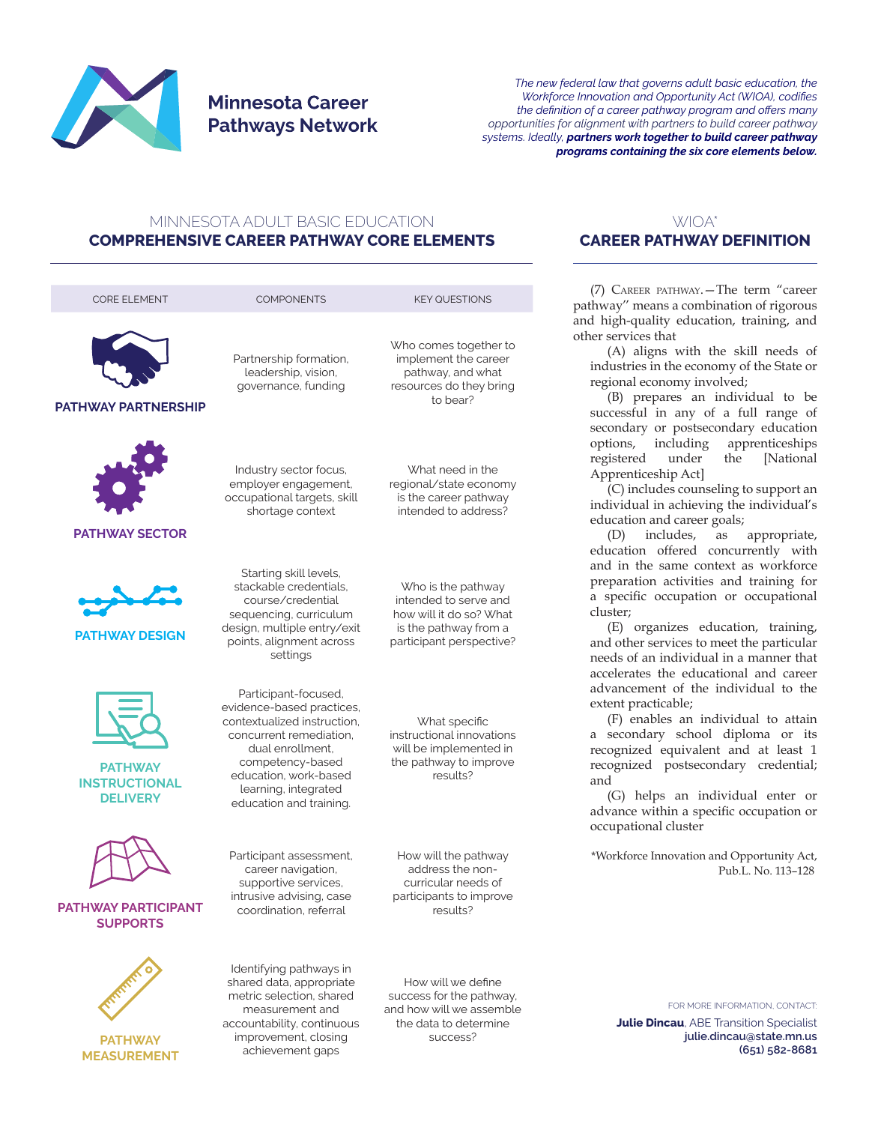

## **Minnesota Career Pathways Network**

*The new federal law that governs adult basic education, the Workforce Innovation and Opportunity Act (WIOA), codifies the definition of a career pathway program and offers many opportunities for alignment with partners to build career pathway systems. Ideally, partners work together to build career pathway programs containing the six core elements below.*

## MINNESOTA ADULT BASIC EDUCATION **COMPREHENSIVE CAREER PATHWAY CORE ELEMENTS**



## WIOA\* **CAREER PATHWAY DEFINITION**

(7) Career pathway.—The term "career pathway'' means a combination of rigorous and high-quality education, training, and other services that

(A) aligns with the skill needs of industries in the economy of the State or regional economy involved;

(B) prepares an individual to be successful in any of a full range of secondary or postsecondary education<br>options, including apprenticeships options, including apprenticeships registered under the [National Apprenticeship Act]

(C) includes counseling to support an individual in achieving the individual's education and career goals;

(D) includes, as appropriate, education offered concurrently with and in the same context as workforce preparation activities and training for a specific occupation or occupational cluster;

(E) organizes education, training, and other services to meet the particular needs of an individual in a manner that accelerates the educational and career advancement of the individual to the extent practicable;

(F) enables an individual to attain a secondary school diploma or its recognized equivalent and at least 1 recognized postsecondary credential; and

(G) helps an individual enter or advance within a specific occupation or occupational cluster

\*Workforce Innovation and Opportunity Act, Pub.L. No. 113–128

FOR MORE INFORMATION, CONTACT:

**Julie Dincau**, ABE Transition Specialist **julie.dincau@state.mn.us (651) 582-8681**